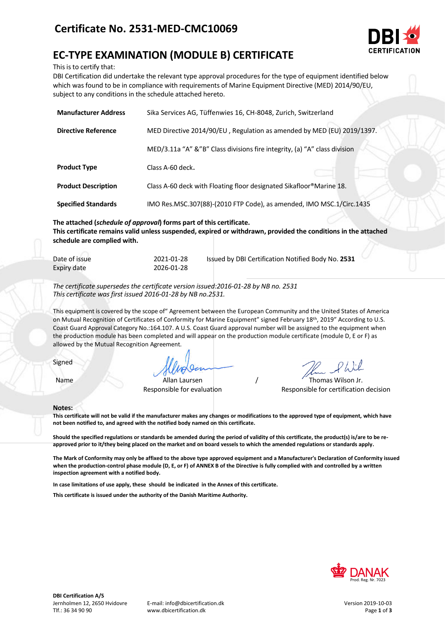

# **EC-TYPE EXAMINATION (MODULE B) CERTIFICATE**

This is to certify that:

DBI Certification did undertake the relevant type approval procedures for the type of equipment identified below which was found to be in compliance with requirements of Marine Equipment Directive (MED) 2014/90/EU, subject to any conditions in the schedule attached hereto.

| <b>Manufacturer Address</b> | Sika Services AG, Tüffenwies 16, CH-8048, Zurich, Switzerland             |  |
|-----------------------------|---------------------------------------------------------------------------|--|
| <b>Directive Reference</b>  | MED Directive 2014/90/EU, Regulation as amended by MED (EU) 2019/1397.    |  |
|                             | MED/3.11a "A" &"B" Class divisions fire integrity, (a) "A" class division |  |
| <b>Product Type</b>         | Class A-60 deck.                                                          |  |
| <b>Product Description</b>  | Class A-60 deck with Floating floor designated Sikafloor®Marine 18.       |  |
| <b>Specified Standards</b>  | IMO Res.MSC.307(88)-(2010 FTP Code), as amended, IMO MSC.1/Circ.1435      |  |

**The attached (***schedule of approval***) forms part of this certificate. This certificate remains valid unless suspended, expired or withdrawn, provided the conditions in the attached schedule are complied with.**

| Date of issue | 2021-01-28 | Issued by DBI Certification Notified Body No. 2531 |
|---------------|------------|----------------------------------------------------|
| Expiry date   | 2026-01-28 |                                                    |

*The certificate supersedes the certificate version issued:2016-01-28 by NB no. 2531 This certificate was first issued 2016-01-28 by NB no.2531.*

This equipment is covered by the scope of" Agreement between the European Community and the United States of America on Mutual Recognition of Certificates of Conformity for Marine Equipment" signed February 18th, 2019" According to U.S. Coast Guard Approval Category No.:164.107. A U.S. Coast Guard approval number will be assigned to the equipment when the production module has been completed and will appear on the production module certificate (module D, E or F) as allowed by the Mutual Recognition Agreement.

Signed

Name Allan Laursen / Thomas Wilson Jr.

Responsible for evaluation Responsible for certification decision

#### **Notes:**

**This certificate will not be valid if the manufacturer makes any changes or modifications to the approved type of equipment, which have not been notified to, and agreed with the notified body named on this certificate.**

**Should the specified regulations or standards be amended during the period of validity of this certificate, the product(s) is/are to be reapproved prior to it/they being placed on the market and on board vessels to which the amended regulations or standards apply.**

**The Mark of Conformity may only be affixed to the above type approved equipment and a Manufacturer's Declaration of Conformity issued when the production-control phase module (D, E, or F) of ANNEX B of the Directive is fully complied with and controlled by a written inspection agreement with a notified body.** 

**In case limitations of use apply, these should be indicated in the Annex of this certificate.**

**This certificate is issued under the authority of the Danish Maritime Authority.**

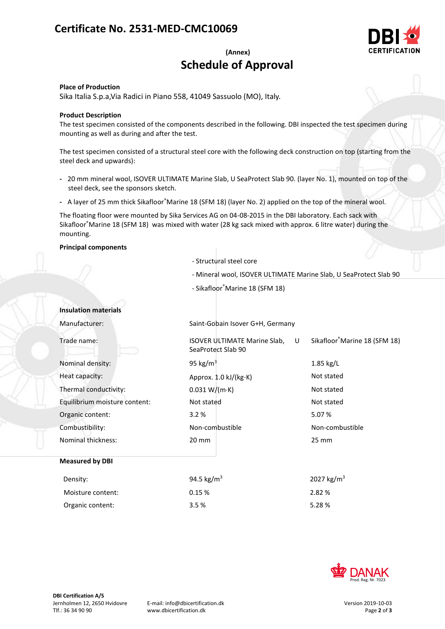## **Certificate No. 2531-MED-CMC10069**



## **(Annex) Schedule of Approval**

**Place of Production**

Sika Italia S.p.a,Via Radici in Piano 558, 41049 Sassuolo (MO), Italy.

## **Product Description**

The test specimen consisted of the components described in the following. DBI inspected the test specimen during mounting as well as during and after the test.

The test specimen consisted of a structural steel core with the following deck construction on top (starting from the steel deck and upwards):

- **-** 20 mm mineral wool, ISOVER ULTIMATE Marine Slab, U SeaProtect Slab 90. (layer No. 1), mounted on top of the steel deck, see the sponsors sketch.
- **-** A layer of 25 mm thick Sikafloor®Marine 18 (SFM 18) (layer No. 2) applied on the top of the mineral wool.

The floating floor were mounted by Sika Services AG on 04-08-2015 in the DBI laboratory. Each sack with Sikafloor®Marine 18 (SFM 18) was mixed with water (28 kg sack mixed with approx. 6 litre water) during the mounting.

## **Principal components**

- Structural steel core
- Mineral wool, ISOVER ULTIMATE Marine Slab, U SeaProtect Slab 90
- Sikafloor®Marine 18 (SFM 18)

## **Insulation materials**

Manufacturer: Saint-Gobain Isover G+H, Germany Trade name: ISOVER ULTIMATE Marine Slab. U SeaProtect Slab 90 Sikafloor®Marine 18 (SFM 18) Nominal density:  $95 \text{ kg/m}^3$  95 kg/m<sup>3</sup> 1.85 kg/L Heat capacity:  $\Delta p$  Approx. 1.0 kJ/(kg·K) Not stated Thermal conductivity:  $0.031 W/(m \cdot K)$  Not stated Equilibrium moisture content: Not stated Not stated Organic content: 3.2 % 5.07 % Combustibility: Non-combustible Non-combustible Nominal thickness: 20 mm 25 mm **Measured by DBI** Density:  $94.5 \text{ kg/m}^3$  2027 kg/m<sup>3</sup> Moisture content:  $0.15\%$  2.82 % Organic content: 3.5 % 5.28 %